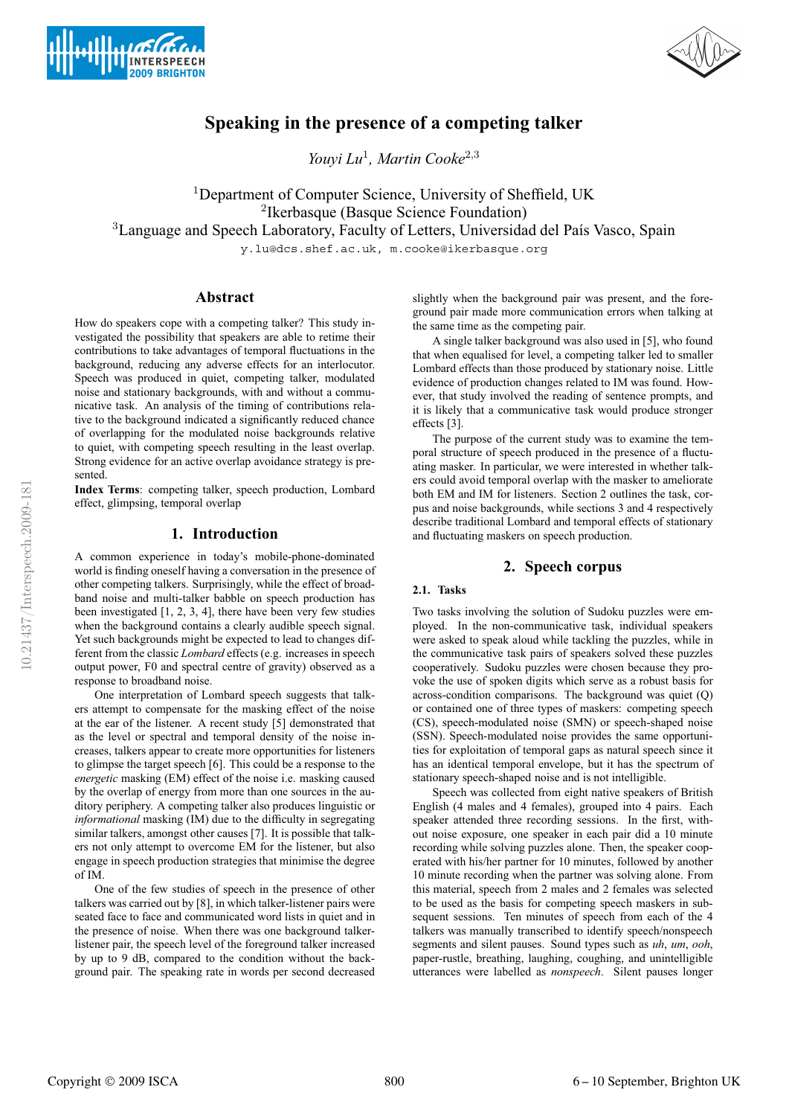



# **Speaking in the presence of a competing talker**

*Youyi Lu*<sup>1</sup>*, Martin Cooke*<sup>2</sup>,<sup>3</sup>

<sup>1</sup>Department of Computer Science, University of Sheffield, UK <sup>2</sup>Ikerbasque (Basque Science Foundation) <sup>3</sup> Language and Speech Laboratory, Faculty of Letters, Universidad del País Vasco, Spain

y.lu@dcs.shef.ac.uk, m.cooke@ikerbasque.org

# **Abstract**

How do speakers cope with a competing talker? This study investigated the possibility that speakers are able to retime their contributions to take advantages of temporal fluctuations in the background, reducing any adverse effects for an interlocutor. Speech was produced in quiet, competing talker, modulated noise and stationary backgrounds, with and without a communicative task. An analysis of the timing of contributions relative to the background indicated a significantly reduced chance of overlapping for the modulated noise backgrounds relative to quiet, with competing speech resulting in the least overlap. Strong evidence for an active overlap avoidance strategy is presented.

**Index Terms**: competing talker, speech production, Lombard effect, glimpsing, temporal overlap

### **1. Introduction**

A common experience in today's mobile-phone-dominated world is finding oneself having a conversation in the presence of other competing talkers. Surprisingly, while the effect of broadband noise and multi-talker babble on speech production has been investigated [1, 2, 3, 4], there have been very few studies when the background contains a clearly audible speech signal. Yet such backgrounds might be expected to lead to changes different from the classic *Lombard* effects (e.g. increases in speech output power, F0 and spectral centre of gravity) observed as a response to broadband noise.

One interpretation of Lombard speech suggests that talkers attempt to compensate for the masking effect of the noise at the ear of the listener. A recent study [5] demonstrated that as the level or spectral and temporal density of the noise increases, talkers appear to create more opportunities for listeners to glimpse the target speech [6]. This could be a response to the *energetic* masking (EM) effect of the noise i.e. masking caused by the overlap of energy from more than one sources in the auditory periphery. A competing talker also produces linguistic or *informational* masking (IM) due to the difficulty in segregating similar talkers, amongst other causes [7]. It is possible that talkers not only attempt to overcome EM for the listener, but also engage in speech production strategies that minimise the degree of IM.

One of the few studies of speech in the presence of other talkers was carried out by [8], in which talker-listener pairs were seated face to face and communicated word lists in quiet and in the presence of noise. When there was one background talkerlistener pair, the speech level of the foreground talker increased by up to 9 dB, compared to the condition without the background pair. The speaking rate in words per second decreased

slightly when the background pair was present, and the foreground pair made more communication errors when talking at the same time as the competing pair.

A single talker background was also used in [5], who found that when equalised for level, a competing talker led to smaller Lombard effects than those produced by stationary noise. Little evidence of production changes related to IM was found. However, that study involved the reading of sentence prompts, and it is likely that a communicative task would produce stronger effects [3].

The purpose of the current study was to examine the temporal structure of speech produced in the presence of a fluctuating masker. In particular, we were interested in whether talkers could avoid temporal overlap with the masker to ameliorate both EM and IM for listeners. Section 2 outlines the task, corpus and noise backgrounds, while sections 3 and 4 respectively describe traditional Lombard and temporal effects of stationary and fluctuating maskers on speech production.

## **2. Speech corpus**

## **2.1. Tasks**

Two tasks involving the solution of Sudoku puzzles were employed. In the non-communicative task, individual speakers were asked to speak aloud while tackling the puzzles, while in the communicative task pairs of speakers solved these puzzles cooperatively. Sudoku puzzles were chosen because they provoke the use of spoken digits which serve as a robust basis for across-condition comparisons. The background was quiet (Q) or contained one of three types of maskers: competing speech (CS), speech-modulated noise (SMN) or speech-shaped noise (SSN). Speech-modulated noise provides the same opportunities for exploitation of temporal gaps as natural speech since it has an identical temporal envelope, but it has the spectrum of stationary speech-shaped noise and is not intelligible.

Speech was collected from eight native speakers of British English (4 males and 4 females), grouped into 4 pairs. Each speaker attended three recording sessions. In the first, without noise exposure, one speaker in each pair did a 10 minute recording while solving puzzles alone. Then, the speaker cooperated with his/her partner for 10 minutes, followed by another 10 minute recording when the partner was solving alone. From this material, speech from 2 males and 2 females was selected to be used as the basis for competing speech maskers in subsequent sessions. Ten minutes of speech from each of the 4 talkers was manually transcribed to identify speech/nonspeech segments and silent pauses. Sound types such as *uh*, *um*, *ooh*, paper-rustle, breathing, laughing, coughing, and unintelligible utterances were labelled as *nonspeech*. Silent pauses longer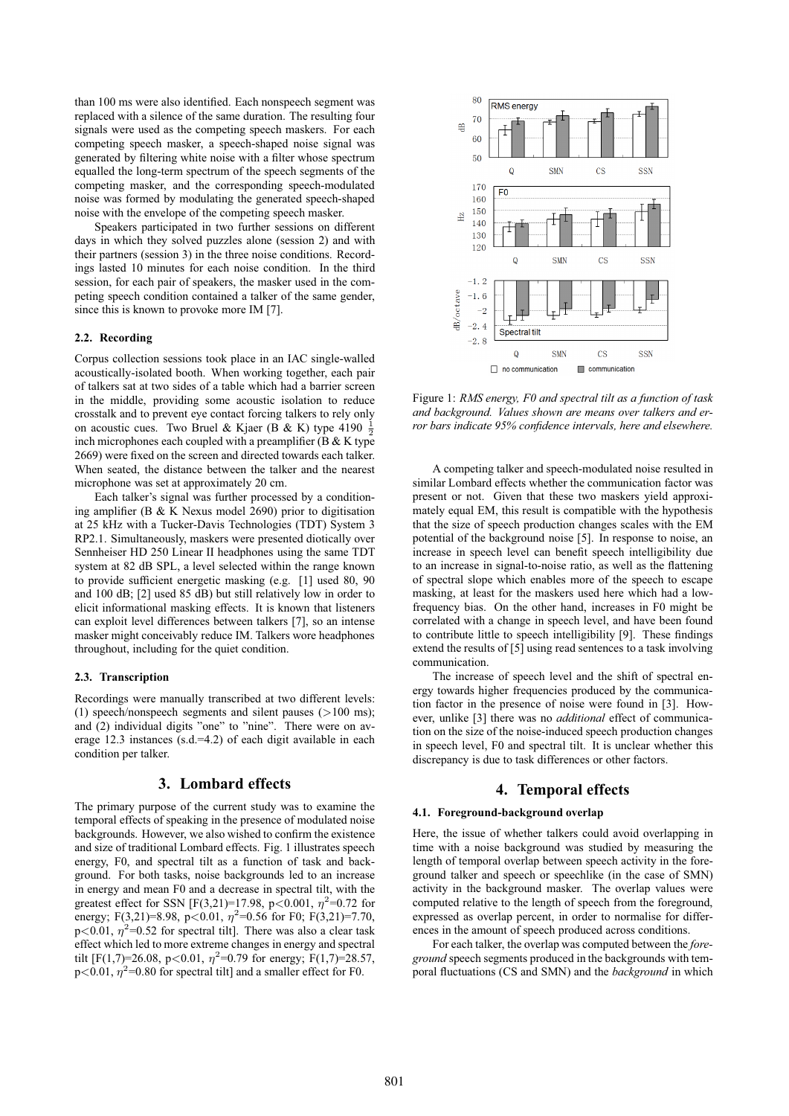than 100 ms were also identified. Each nonspeech segment was replaced with a silence of the same duration. The resulting four signals were used as the competing speech maskers. For each competing speech masker, a speech-shaped noise signal was generated by filtering white noise with a filter whose spectrum equalled the long-term spectrum of the speech segments of the competing masker, and the corresponding speech-modulated noise was formed by modulating the generated speech-shaped noise with the envelope of the competing speech masker.

Speakers participated in two further sessions on different days in which they solved puzzles alone (session 2) and with their partners (session 3) in the three noise conditions. Recordings lasted 10 minutes for each noise condition. In the third session, for each pair of speakers, the masker used in the competing speech condition contained a talker of the same gender, since this is known to provoke more IM [7].

#### **2.2. Recording**

Corpus collection sessions took place in an IAC single-walled acoustically-isolated booth. When working together, each pair of talkers sat at two sides of a table which had a barrier screen in the middle, providing some acoustic isolation to reduce crosstalk and to prevent eye contact forcing talkers to rely only on acoustic cues. Two Bruel & Kjaer (B & K) type 4190  $\frac{1}{2}$ inch microphones each coupled with a preamplifier (B  $&$  K type 2669) were fixed on the screen and directed towards each talker. When seated, the distance between the talker and the nearest microphone was set at approximately 20 cm.

Each talker's signal was further processed by a conditioning amplifier (B & K Nexus model 2690) prior to digitisation at 25 kHz with a Tucker-Davis Technologies (TDT) System 3 RP2.1. Simultaneously, maskers were presented diotically over Sennheiser HD 250 Linear II headphones using the same TDT system at 82 dB SPL, a level selected within the range known to provide sufficient energetic masking (e.g. [1] used 80, 90 and 100 dB; [2] used 85 dB) but still relatively low in order to elicit informational masking effects. It is known that listeners can exploit level differences between talkers [7], so an intense masker might conceivably reduce IM. Talkers wore headphones throughout, including for the quiet condition.

#### **2.3. Transcription**

Recordings were manually transcribed at two different levels: (1) speech/nonspeech segments and silent pauses  $(>100 \text{ ms})$ ; and (2) individual digits "one" to "nine". There were on average 12.3 instances (s.d.=4.2) of each digit available in each condition per talker.

### **3. Lombard effects**

The primary purpose of the current study was to examine the temporal effects of speaking in the presence of modulated noise backgrounds. However, we also wished to confirm the existence and size of traditional Lombard effects. Fig. 1 illustrates speech energy, F0, and spectral tilt as a function of task and background. For both tasks, noise backgrounds led to an increase in energy and mean F0 and a decrease in spectral tilt, with the greatest effect for SSN  $[F(3,21)=17.98, p<0.001, \eta^2=0.72$  for energy; F(3,21)=8.98, p<0.01,  $\eta$ <sup>2</sup>=0.56 for F0; F(3,21)=7.70,  $p<0.01$ ,  $\eta^2$ =0.52 for spectral tilt]. There was also a clear task effect which led to more extreme changes in energy and spectral tilt  $[F(1,7)=26.08, p<0.01, \eta^2=0.79$  for energy;  $F(1,7)=28.57$ ,  $p<0.01$ ,  $\eta^2$ =0.80 for spectral tilt] and a smaller effect for F0.



Figure 1: *RMS energy, F0 and spectral tilt as a function of task and background. Values shown are means over talkers and error bars indicate 95% confidence intervals, here and elsewhere.*

A competing talker and speech-modulated noise resulted in similar Lombard effects whether the communication factor was present or not. Given that these two maskers yield approximately equal EM, this result is compatible with the hypothesis that the size of speech production changes scales with the EM potential of the background noise [5]. In response to noise, an increase in speech level can benefit speech intelligibility due to an increase in signal-to-noise ratio, as well as the flattening of spectral slope which enables more of the speech to escape masking, at least for the maskers used here which had a lowfrequency bias. On the other hand, increases in F0 might be correlated with a change in speech level, and have been found to contribute little to speech intelligibility [9]. These findings extend the results of [5] using read sentences to a task involving communication.

The increase of speech level and the shift of spectral energy towards higher frequencies produced by the communication factor in the presence of noise were found in [3]. However, unlike [3] there was no *additional* effect of communication on the size of the noise-induced speech production changes in speech level, F0 and spectral tilt. It is unclear whether this discrepancy is due to task differences or other factors.

# **4. Temporal effects**

#### **4.1. Foreground-background overlap**

Here, the issue of whether talkers could avoid overlapping in time with a noise background was studied by measuring the length of temporal overlap between speech activity in the foreground talker and speech or speechlike (in the case of SMN) activity in the background masker. The overlap values were computed relative to the length of speech from the foreground, expressed as overlap percent, in order to normalise for differences in the amount of speech produced across conditions.

For each talker, the overlap was computed between the *foreground* speech segments produced in the backgrounds with temporal fluctuations (CS and SMN) and the *background* in which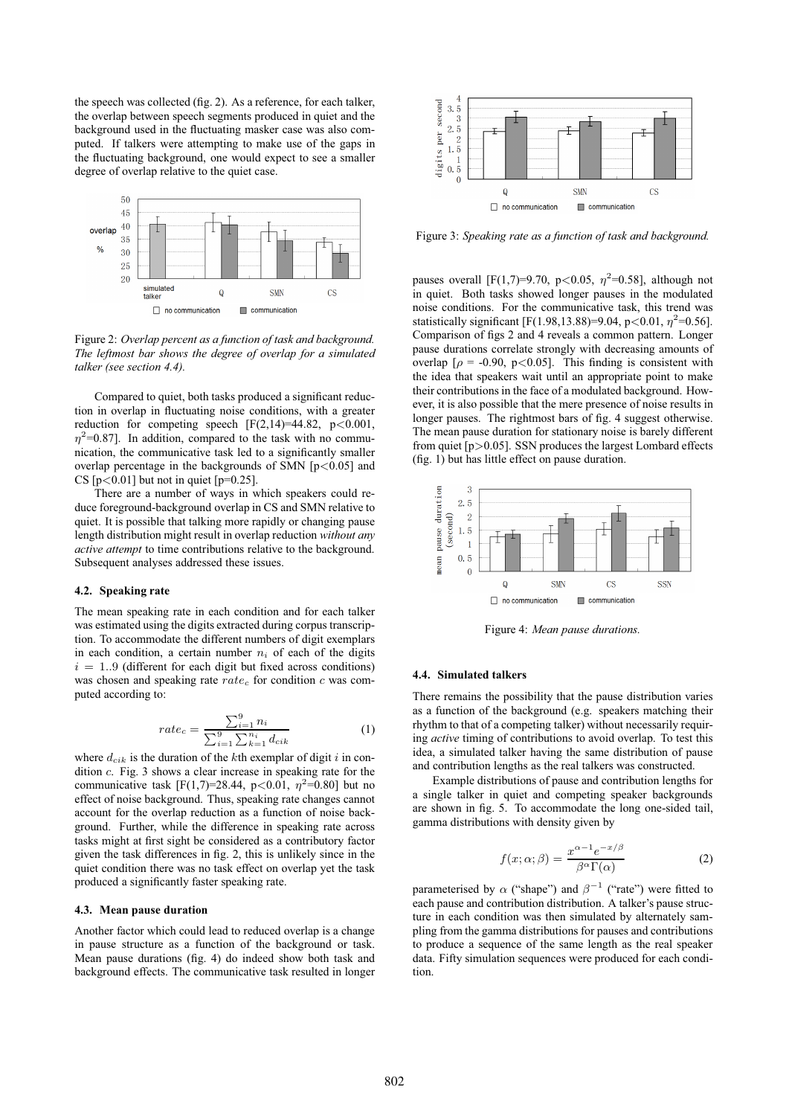the speech was collected (fig. 2). As a reference, for each talker, the overlap between speech segments produced in quiet and the background used in the fluctuating masker case was also computed. If talkers were attempting to make use of the gaps in the fluctuating background, one would expect to see a smaller degree of overlap relative to the quiet case.



Figure 2: *Overlap percent as a function of task and background. The leftmost bar shows the degree of overlap for a simulated talker (see section 4.4).*

Compared to quiet, both tasks produced a significant reduction in overlap in fluctuating noise conditions, with a greater reduction for competing speech  $[F(2,14)=44.82, p<0.001,$  $\eta^2$ =0.87]. In addition, compared to the task with no communication, the communicative task led to a significantly smaller overlap percentage in the backgrounds of SMN  $[p<0.05]$  and CS  $[p<0.01]$  but not in quiet  $[p=0.25]$ .

There are a number of ways in which speakers could reduce foreground-background overlap in CS and SMN relative to quiet. It is possible that talking more rapidly or changing pause length distribution might result in overlap reduction *without any active attempt* to time contributions relative to the background. Subsequent analyses addressed these issues.

#### **4.2. Speaking rate**

The mean speaking rate in each condition and for each talker was estimated using the digits extracted during corpus transcription. To accommodate the different numbers of digit exemplars in each condition, a certain number  $n_i$  of each of the digits  $i = 1..9$  (different for each digit but fixed across conditions) was chosen and speaking rate  $rate_c$  for condition c was computed according to:

$$
rate_c = \frac{\sum_{i=1}^{9} n_i}{\sum_{i=1}^{9} \sum_{k=1}^{n_i} d_{cik}} \tag{1}
$$

where  $d_{cik}$  is the duration of the kth exemplar of digit i in condition c. Fig. 3 shows a clear increase in speaking rate for the communicative task  $[F(1,7)=28.44, p<0.01, \eta^2=0.80]$  but no effect of noise background. Thus, speaking rate changes cannot account for the overlap reduction as a function of noise background. Further, while the difference in speaking rate across tasks might at first sight be considered as a contributory factor given the task differences in fig. 2, this is unlikely since in the quiet condition there was no task effect on overlap yet the task produced a significantly faster speaking rate.

#### **4.3. Mean pause duration**

Another factor which could lead to reduced overlap is a change in pause structure as a function of the background or task. Mean pause durations (fig. 4) do indeed show both task and background effects. The communicative task resulted in longer



Figure 3: *Speaking rate as a function of task and background.*

pauses overall [F(1,7)=9.70, p<0.05,  $\eta^2$ =0.58], although not in quiet. Both tasks showed longer pauses in the modulated noise conditions. For the communicative task, this trend was statistically significant [F(1.98,13.88)=9.04, p<0.01,  $\eta^2$ =0.56]. Comparison of figs 2 and 4 reveals a common pattern. Longer pause durations correlate strongly with decreasing amounts of overlap  $[\rho = -0.90, p < 0.05]$ . This finding is consistent with the idea that speakers wait until an appropriate point to make their contributions in the face of a modulated background. However, it is also possible that the mere presence of noise results in longer pauses. The rightmost bars of fig. 4 suggest otherwise. The mean pause duration for stationary noise is barely different from quiet  $[p>0.05]$ . SSN produces the largest Lombard effects (fig. 1) but has little effect on pause duration.



Figure 4: *Mean pause durations.*

#### **4.4. Simulated talkers**

There remains the possibility that the pause distribution varies as a function of the background (e.g. speakers matching their rhythm to that of a competing talker) without necessarily requiring *active* timing of contributions to avoid overlap. To test this idea, a simulated talker having the same distribution of pause and contribution lengths as the real talkers was constructed.

Example distributions of pause and contribution lengths for a single talker in quiet and competing speaker backgrounds are shown in fig. 5. To accommodate the long one-sided tail, gamma distributions with density given by

$$
f(x; \alpha; \beta) = \frac{x^{\alpha - 1} e^{-x/\beta}}{\beta^{\alpha} \Gamma(\alpha)}
$$
 (2)

parameterised by  $\alpha$  ("shape") and  $\beta^{-1}$  ("rate") were fitted to each pause and contribution distribution. A talker's pause structure in each condition was then simulated by alternately sampling from the gamma distributions for pauses and contributions to produce a sequence of the same length as the real speaker data. Fifty simulation sequences were produced for each condition.